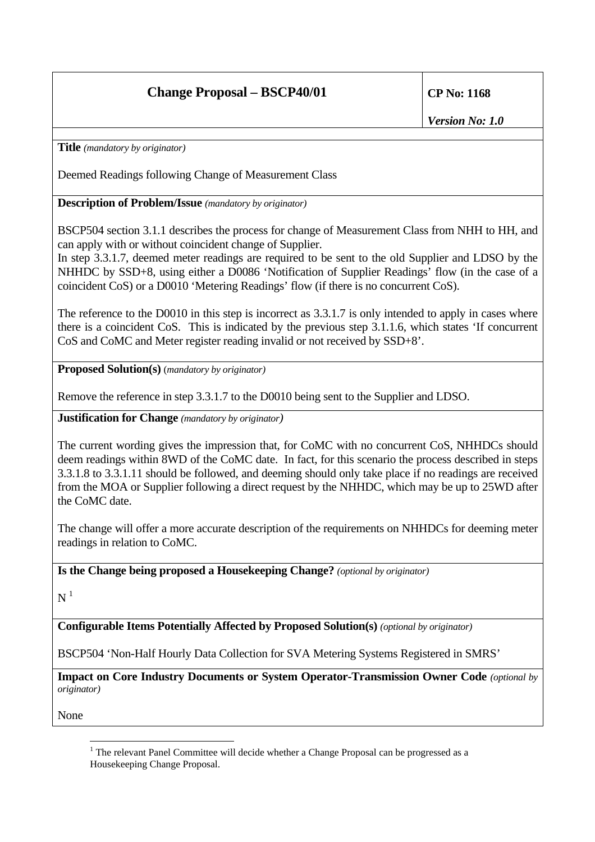## **Change Proposal – BSCP40/01 CP No: 1168**

*Version No: 1.0*

**Title** *(mandatory by originator)*

Deemed Readings following Change of Measurement Class

**Description of Problem/Issue** *(mandatory by originator)*

BSCP504 section 3.1.1 describes the process for change of Measurement Class from NHH to HH, and can apply with or without coincident change of Supplier.

In step 3.3.1.7, deemed meter readings are required to be sent to the old Supplier and LDSO by the NHHDC by SSD+8, using either a D0086 'Notification of Supplier Readings' flow (in the case of a coincident CoS) or a D0010 'Metering Readings' flow (if there is no concurrent CoS).

The reference to the D0010 in this step is incorrect as 3.3.1.7 is only intended to apply in cases where there is a coincident CoS. This is indicated by the previous step 3.1.1.6, which states 'If concurrent CoS and CoMC and Meter register reading invalid or not received by SSD+8'.

**Proposed Solution(s)** (*mandatory by originator)*

Remove the reference in step 3.3.1.7 to the D0010 being sent to the Supplier and LDSO.

**Justification for Change** *(mandatory by originator)* 

The current wording gives the impression that, for CoMC with no concurrent CoS, NHHDCs should deem readings within 8WD of the CoMC date. In fact, for this scenario the process described in steps 3.3.1.8 to 3.3.1.11 should be followed, and deeming should only take place if no readings are received from the MOA or Supplier following a direct request by the NHHDC, which may be up to 25WD after the CoMC date.

The change will offer a more accurate description of the requirements on NHHDCs for deeming meter readings in relation to CoMC.

**Is the Change being proposed a Housekeeping Change?** *(optional by originator)*

 $N<sup>1</sup>$ 

**Configurable Items Potentially Affected by Proposed Solution(s)** *(optional by originator)*

BSCP504 'Non-Half Hourly Data Collection for SVA Metering Systems Registered in SMRS'

**Impact on Core Industry Documents or System Operator-Transmission Owner Code** *(optional by originator)*

None

 $\overline{a}$  $1$  The relevant Panel Committee will decide whether a Change Proposal can be progressed as a Housekeeping Change Proposal.